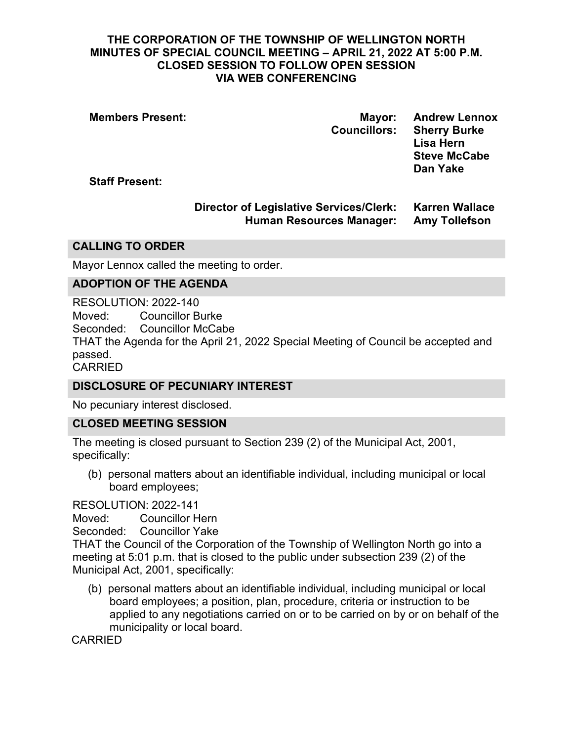#### **THE CORPORATION OF THE TOWNSHIP OF WELLINGTON NORTH MINUTES OF SPECIAL COUNCIL MEETING – APRIL 21, 2022 AT 5:00 P.M. CLOSED SESSION TO FOLLOW OPEN SESSION VIA WEB CONFERENCING**

**Members Present: Mayor: Andrew Lennox**

**Councillors: Sherry Burke Lisa Hern Steve McCabe Dan Yake**

**Staff Present:**

# **Director of Legislative Services/Clerk: Karren Wallace Human Resources Manager: Amy Tollefson**

### **CALLING TO ORDER**

Mayor Lennox called the meeting to order.

### **ADOPTION OF THE AGENDA**

RESOLUTION: 2022-140 Moved: Councillor Burke Seconded: Councillor McCabe THAT the Agenda for the April 21, 2022 Special Meeting of Council be accepted and passed. CARRIED

### **DISCLOSURE OF PECUNIARY INTEREST**

No pecuniary interest disclosed.

### **CLOSED MEETING SESSION**

The meeting is closed pursuant to Section 239 (2) of the Municipal Act, 2001, specifically:

(b) personal matters about an identifiable individual, including municipal or local board employees;

#### RESOLUTION: 2022-141

Moved: Councillor Hern

Seconded: Councillor Yake

THAT the Council of the Corporation of the Township of Wellington North go into a meeting at 5:01 p.m. that is closed to the public under subsection 239 (2) of the Municipal Act, 2001, specifically:

(b) personal matters about an identifiable individual, including municipal or local board employees; a position, plan, procedure, criteria or instruction to be applied to any negotiations carried on or to be carried on by or on behalf of the municipality or local board.

CARRIED